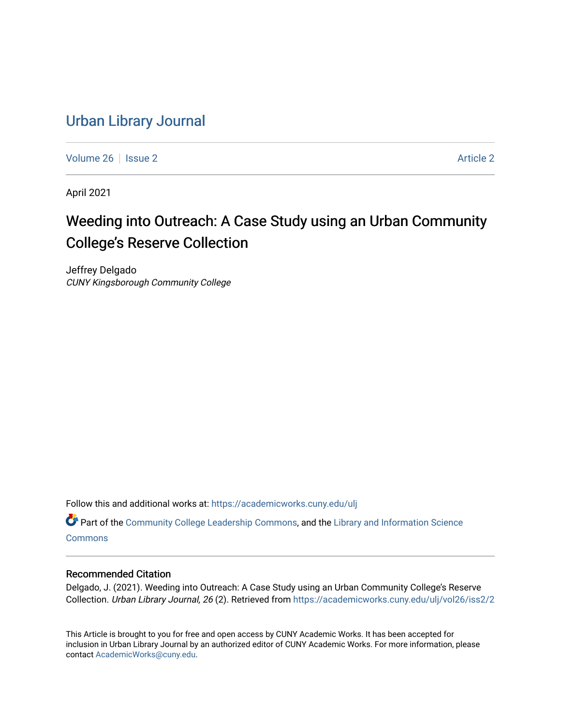# [Urban Library Journal](https://academicworks.cuny.edu/ulj)

[Volume 26](https://academicworks.cuny.edu/ulj/vol26) | [Issue 2](https://academicworks.cuny.edu/ulj/vol26/iss2) [Article 2](https://academicworks.cuny.edu/ulj/vol26/iss2/2) Article 2 Article 2 Article 2 Article 2 Article 2 Article 2 Article 2 Article 2

April 2021

# Weeding into Outreach: A Case Study using an Urban Community College's Reserve Collection

Jeffrey Delgado CUNY Kingsborough Community College

Follow this and additional works at: [https://academicworks.cuny.edu/ulj](https://academicworks.cuny.edu/ulj?utm_source=academicworks.cuny.edu%2Fulj%2Fvol26%2Fiss2%2F2&utm_medium=PDF&utm_campaign=PDFCoverPages)

Part of the [Community College Leadership Commons](http://network.bepress.com/hgg/discipline/1039?utm_source=academicworks.cuny.edu%2Fulj%2Fvol26%2Fiss2%2F2&utm_medium=PDF&utm_campaign=PDFCoverPages), and the [Library and Information Science](http://network.bepress.com/hgg/discipline/1018?utm_source=academicworks.cuny.edu%2Fulj%2Fvol26%2Fiss2%2F2&utm_medium=PDF&utm_campaign=PDFCoverPages)  **[Commons](http://network.bepress.com/hgg/discipline/1018?utm_source=academicworks.cuny.edu%2Fulj%2Fvol26%2Fiss2%2F2&utm_medium=PDF&utm_campaign=PDFCoverPages)** 

#### Recommended Citation

Delgado, J. (2021). Weeding into Outreach: A Case Study using an Urban Community College's Reserve Collection. Urban Library Journal, 26 (2). Retrieved from [https://academicworks.cuny.edu/ulj/vol26/iss2/2](https://academicworks.cuny.edu/ulj/vol26/iss2/2?utm_source=academicworks.cuny.edu%2Fulj%2Fvol26%2Fiss2%2F2&utm_medium=PDF&utm_campaign=PDFCoverPages) 

This Article is brought to you for free and open access by CUNY Academic Works. It has been accepted for inclusion in Urban Library Journal by an authorized editor of CUNY Academic Works. For more information, please contact [AcademicWorks@cuny.edu.](mailto:AcademicWorks@cuny.edu)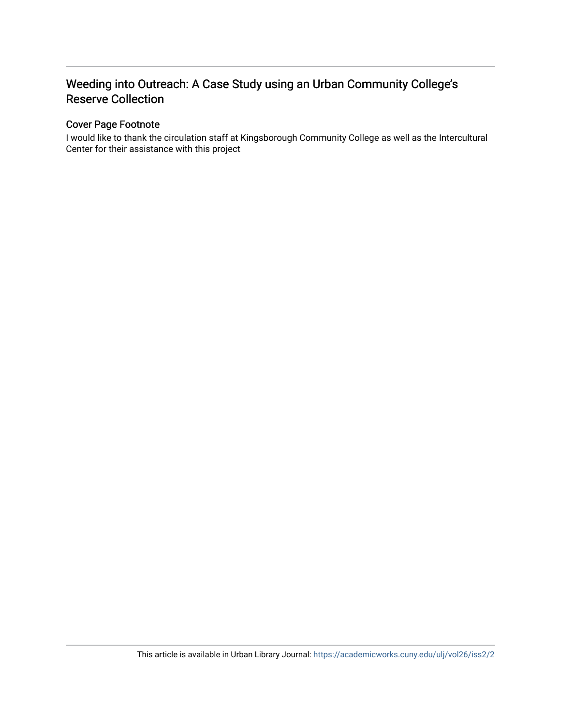# Weeding into Outreach: A Case Study using an Urban Community College's Reserve Collection

#### Cover Page Footnote

I would like to thank the circulation staff at Kingsborough Community College as well as the Intercultural Center for their assistance with this project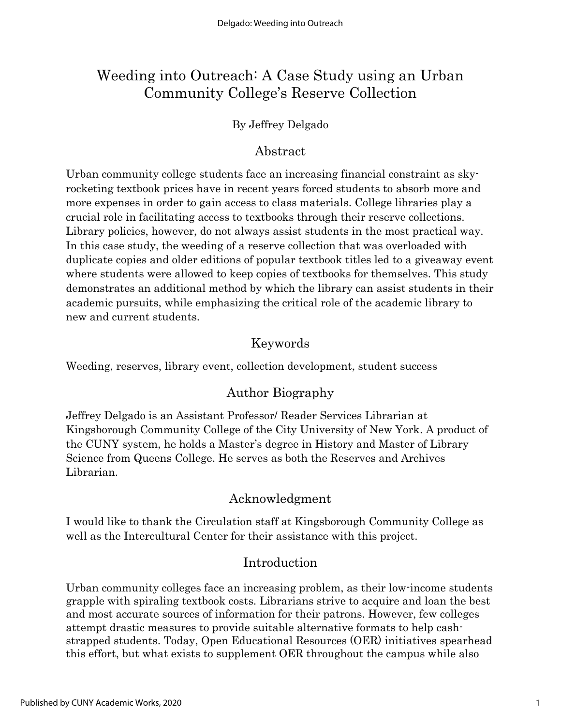# Weeding into Outreach: A Case Study using an Urban Community College's Reserve Collection

### By Jeffrey Delgado

## Abstract

Urban community college students face an increasing financial constraint as skyrocketing textbook prices have in recent years forced students to absorb more and more expenses in order to gain access to class materials. College libraries play a crucial role in facilitating access to textbooks through their reserve collections. Library policies, however, do not always assist students in the most practical way. In this case study, the weeding of a reserve collection that was overloaded with duplicate copies and older editions of popular textbook titles led to a giveaway event where students were allowed to keep copies of textbooks for themselves. This study demonstrates an additional method by which the library can assist students in their academic pursuits, while emphasizing the critical role of the academic library to new and current students.

# Keywords

Weeding, reserves, library event, collection development, student success

# Author Biography

Jeffrey Delgado is an Assistant Professor/ Reader Services Librarian at Kingsborough Community College of the City University of New York. A product of the CUNY system, he holds a Master's degree in History and Master of Library Science from Queens College. He serves as both the Reserves and Archives Librarian.

# Acknowledgment

I would like to thank the Circulation staff at Kingsborough Community College as well as the Intercultural Center for their assistance with this project.

### Introduction

Urban community colleges face an increasing problem, as their low-income students grapple with spiraling textbook costs. Librarians strive to acquire and loan the best and most accurate sources of information for their patrons. However, few colleges attempt drastic measures to provide suitable alternative formats to help cashstrapped students. Today, Open Educational Resources (OER) initiatives spearhead this effort, but what exists to supplement OER throughout the campus while also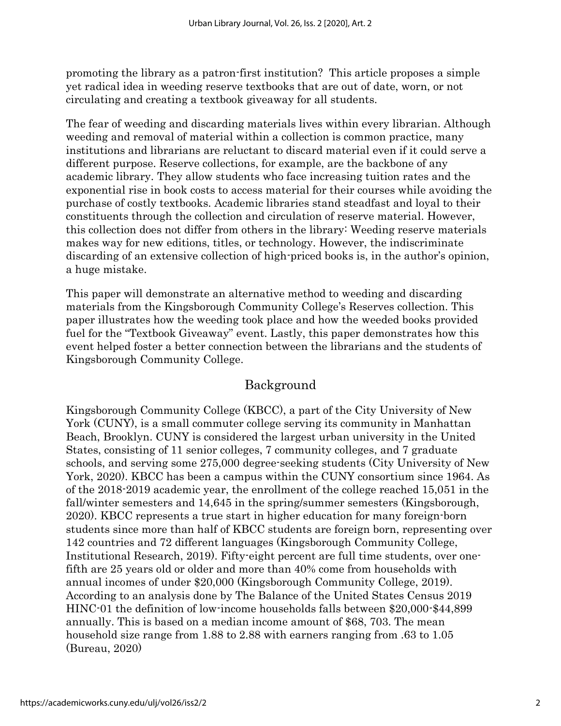promoting the library as a patron-first institution? This article proposes a simple yet radical idea in weeding reserve textbooks that are out of date, worn, or not circulating and creating a textbook giveaway for all students.

The fear of weeding and discarding materials lives within every librarian. Although weeding and removal of material within a collection is common practice, many institutions and librarians are reluctant to discard material even if it could serve a different purpose. Reserve collections, for example, are the backbone of any academic library. They allow students who face increasing tuition rates and the exponential rise in book costs to access material for their courses while avoiding the purchase of costly textbooks. Academic libraries stand steadfast and loyal to their constituents through the collection and circulation of reserve material. However, this collection does not differ from others in the library: Weeding reserve materials makes way for new editions, titles, or technology. However, the indiscriminate discarding of an extensive collection of high-priced books is, in the author's opinion, a huge mistake.

This paper will demonstrate an alternative method to weeding and discarding materials from the Kingsborough Community College's Reserves collection. This paper illustrates how the weeding took place and how the weeded books provided fuel for the "Textbook Giveaway" event. Lastly, this paper demonstrates how this event helped foster a better connection between the librarians and the students of Kingsborough Community College.

### Background

Kingsborough Community College (KBCC), a part of the City University of New York (CUNY), is a small commuter college serving its community in Manhattan Beach, Brooklyn. CUNY is considered the largest urban university in the United States, consisting of 11 senior colleges, 7 community colleges, and 7 graduate schools, and serving some 275,000 degree-seeking students (City University of New York, 2020). KBCC has been a campus within the CUNY consortium since 1964. As of the 2018-2019 academic year, the enrollment of the college reached 15,051 in the fall/winter semesters and 14,645 in the spring/summer semesters (Kingsborough, 2020). KBCC represents a true start in higher education for many foreign-born students since more than half of KBCC students are foreign born, representing over 142 countries and 72 different languages (Kingsborough Community College, Institutional Research, 2019). Fifty-eight percent are full time students, over onefifth are 25 years old or older and more than 40% come from households with annual incomes of under \$20,000 (Kingsborough Community College, 2019). According to an analysis done by The Balance of the United States Census 2019 HINC-01 the definition of low-income households falls between \$20,000-\$44,899 annually. This is based on a median income amount of \$68, 703. The mean household size range from 1.88 to 2.88 with earners ranging from .63 to 1.05 (Bureau, 2020)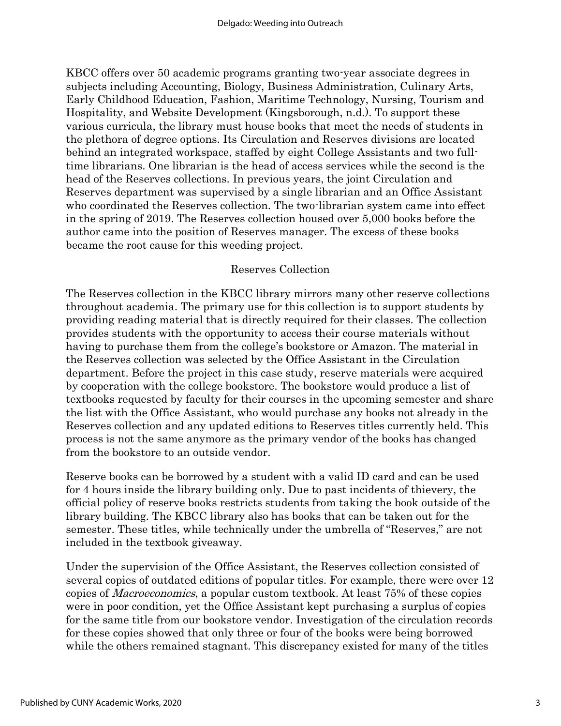KBCC offers over 50 academic programs granting two-year associate degrees in subjects including Accounting, Biology, Business Administration, Culinary Arts, Early Childhood Education, Fashion, Maritime Technology, Nursing, Tourism and Hospitality, and Website Development (Kingsborough, n.d.). To support these various curricula, the library must house books that meet the needs of students in the plethora of degree options. Its Circulation and Reserves divisions are located behind an integrated workspace, staffed by eight College Assistants and two fulltime librarians. One librarian is the head of access services while the second is the head of the Reserves collections. In previous years, the joint Circulation and Reserves department was supervised by a single librarian and an Office Assistant who coordinated the Reserves collection. The two-librarian system came into effect in the spring of 2019. The Reserves collection housed over 5,000 books before the author came into the position of Reserves manager. The excess of these books became the root cause for this weeding project.

#### Reserves Collection

The Reserves collection in the KBCC library mirrors many other reserve collections throughout academia. The primary use for this collection is to support students by providing reading material that is directly required for their classes. The collection provides students with the opportunity to access their course materials without having to purchase them from the college's bookstore or Amazon. The material in the Reserves collection was selected by the Office Assistant in the Circulation department. Before the project in this case study, reserve materials were acquired by cooperation with the college bookstore. The bookstore would produce a list of textbooks requested by faculty for their courses in the upcoming semester and share the list with the Office Assistant, who would purchase any books not already in the Reserves collection and any updated editions to Reserves titles currently held. This process is not the same anymore as the primary vendor of the books has changed from the bookstore to an outside vendor.

Reserve books can be borrowed by a student with a valid ID card and can be used for 4 hours inside the library building only. Due to past incidents of thievery, the official policy of reserve books restricts students from taking the book outside of the library building. The KBCC library also has books that can be taken out for the semester. These titles, while technically under the umbrella of "Reserves," are not included in the textbook giveaway.

Under the supervision of the Office Assistant, the Reserves collection consisted of several copies of outdated editions of popular titles. For example, there were over 12 copies of Macroeconomics, a popular custom textbook. At least 75% of these copies were in poor condition, yet the Office Assistant kept purchasing a surplus of copies for the same title from our bookstore vendor. Investigation of the circulation records for these copies showed that only three or four of the books were being borrowed while the others remained stagnant. This discrepancy existed for many of the titles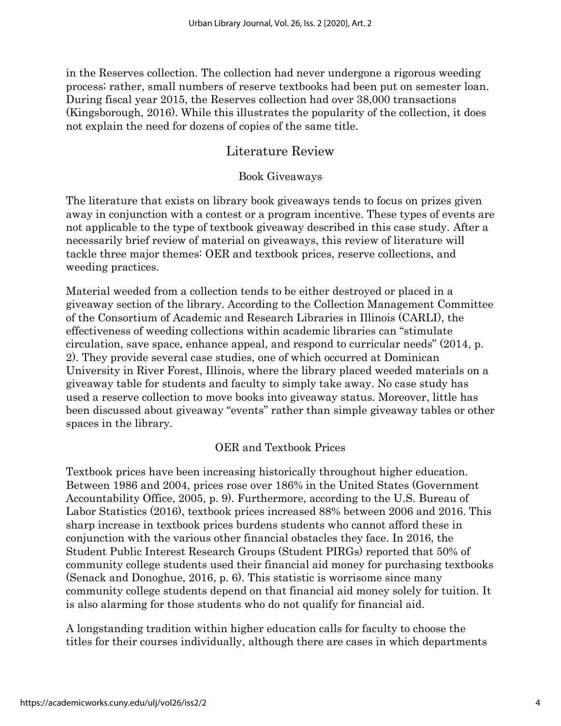in the Reserves collection. The collection had never undergone a rigorous weeding process; rather, small numbers of reserve textbooks had been put on semester loan. During fiscal year 2015, the Reserves collection had over 38,000 transactions (Kingsborough, 2016). While this illustrates the popularity of the collection, it does not explain the need for dozens of copies of the same title.

## Literature Review

#### Book Giveaways

The literature that exists on library book giveaways tends to focus on prizes given away in conjunction with a contest or a program incentive. These types of events are not applicable to the type of textbook giveaway described in this case study. After a necessarily brief review of material on giveaways, this review of literature will tackle three major themes: OER and textbook prices, reserve collections, and weeding practices.

Material weeded from a collection tends to be either destroyed or placed in a giveaway section of the library. According to the Collection Management Committee of the Consortium of Academic and Research Libraries in Illinois (CARLI), the effectiveness of weeding collections within academic libraries can "stimulate circulation, save space, enhance appeal, and respond to curricular needs" (2014, p. 2). They provide several case studies, one of which occurred at Dominican University in River Forest, Illinois, where the library placed weeded materials on a giveaway table for students and faculty to simply take away. No case study has used a reserve collection to move books into giveaway status. Moreover, little has been discussed about giveaway "events" rather than simple giveaway tables or other spaces in the library.

### OER and Textbook Prices

Textbook prices have been increasing historically throughout higher education. Between 1986 and 2004, prices rose over 186% in the United States (Government Accountability Office, 2005, p. 9). Furthermore, according to the U.S. Bureau of Labor Statistics (2016), textbook prices increased 88% between 2006 and 2016. This sharp increase in textbook prices burdens students who cannot afford these in conjunction with the various other financial obstacles they face. In 2016, the Student Public Interest Research Groups (Student PIRGs) reported that 50% of community college students used their financial aid money for purchasing textbooks (Senack and Donoghue, 2016, p. 6). This statistic is worrisome since many community college students depend on that financial aid money solely for tuition. It is also alarming for those students who do not qualify for financial aid.

A longstanding tradition within higher education calls for faculty to choose the titles for their courses individually, although there are cases in which departments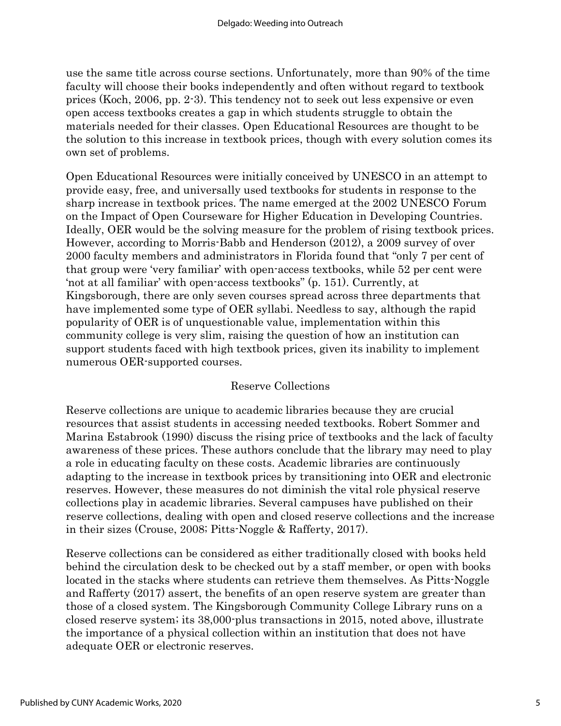use the same title across course sections. Unfortunately, more than 90% of the time faculty will choose their books independently and often without regard to textbook prices (Koch, 2006, pp. 2-3). This tendency not to seek out less expensive or even open access textbooks creates a gap in which students struggle to obtain the materials needed for their classes. Open Educational Resources are thought to be the solution to this increase in textbook prices, though with every solution comes its own set of problems.

Open Educational Resources were initially conceived by UNESCO in an attempt to provide easy, free, and universally used textbooks for students in response to the sharp increase in textbook prices. The name emerged at the 2002 UNESCO Forum on the Impact of Open Courseware for Higher Education in Developing Countries. Ideally, OER would be the solving measure for the problem of rising textbook prices. However, according to Morris-Babb and Henderson (2012), a 2009 survey of over 2000 faculty members and administrators in Florida found that "only 7 per cent of that group were 'very familiar' with open-access textbooks, while 52 per cent were 'not at all familiar' with open-access textbooks" (p. 151). Currently, at Kingsborough, there are only seven courses spread across three departments that have implemented some type of OER syllabi. Needless to say, although the rapid popularity of OER is of unquestionable value, implementation within this community college is very slim, raising the question of how an institution can support students faced with high textbook prices, given its inability to implement numerous OER-supported courses.

#### Reserve Collections

Reserve collections are unique to academic libraries because they are crucial resources that assist students in accessing needed textbooks. Robert Sommer and Marina Estabrook (1990) discuss the rising price of textbooks and the lack of faculty awareness of these prices. These authors conclude that the library may need to play a role in educating faculty on these costs. Academic libraries are continuously adapting to the increase in textbook prices by transitioning into OER and electronic reserves. However, these measures do not diminish the vital role physical reserve collections play in academic libraries. Several campuses have published on their reserve collections, dealing with open and closed reserve collections and the increase in their sizes (Crouse, 2008; Pitts-Noggle & Rafferty, 2017).

Reserve collections can be considered as either traditionally closed with books held behind the circulation desk to be checked out by a staff member, or open with books located in the stacks where students can retrieve them themselves. As Pitts-Noggle and Rafferty (2017) assert, the benefits of an open reserve system are greater than those of a closed system. The Kingsborough Community College Library runs on a closed reserve system; its 38,000-plus transactions in 2015, noted above, illustrate the importance of a physical collection within an institution that does not have adequate OER or electronic reserves.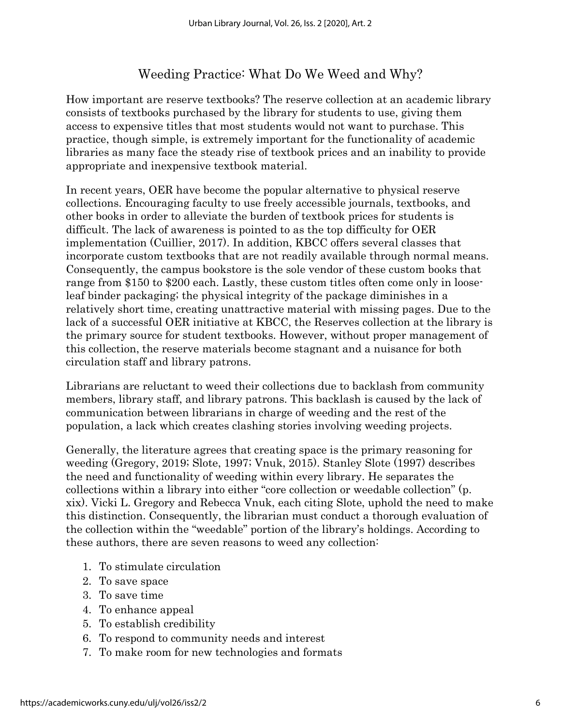# Weeding Practice: What Do We Weed and Why?

How important are reserve textbooks? The reserve collection at an academic library consists of textbooks purchased by the library for students to use, giving them access to expensive titles that most students would not want to purchase. This practice, though simple, is extremely important for the functionality of academic libraries as many face the steady rise of textbook prices and an inability to provide appropriate and inexpensive textbook material.

In recent years, OER have become the popular alternative to physical reserve collections. Encouraging faculty to use freely accessible journals, textbooks, and other books in order to alleviate the burden of textbook prices for students is difficult. The lack of awareness is pointed to as the top difficulty for OER implementation (Cuillier, 2017). In addition, KBCC offers several classes that incorporate custom textbooks that are not readily available through normal means. Consequently, the campus bookstore is the sole vendor of these custom books that range from \$150 to \$200 each. Lastly, these custom titles often come only in looseleaf binder packaging; the physical integrity of the package diminishes in a relatively short time, creating unattractive material with missing pages. Due to the lack of a successful OER initiative at KBCC, the Reserves collection at the library is the primary source for student textbooks. However, without proper management of this collection, the reserve materials become stagnant and a nuisance for both circulation staff and library patrons.

Librarians are reluctant to weed their collections due to backlash from community members, library staff, and library patrons. This backlash is caused by the lack of communication between librarians in charge of weeding and the rest of the population, a lack which creates clashing stories involving weeding projects.

Generally, the literature agrees that creating space is the primary reasoning for weeding (Gregory, 2019; Slote, 1997; Vnuk, 2015). Stanley Slote (1997) describes the need and functionality of weeding within every library. He separates the collections within a library into either "core collection or weedable collection" (p. xix). Vicki L. Gregory and Rebecca Vnuk, each citing Slote, uphold the need to make this distinction. Consequently, the librarian must conduct a thorough evaluation of the collection within the "weedable" portion of the library's holdings. According to these authors, there are seven reasons to weed any collection:

- 1. To stimulate circulation
- 2. To save space
- 3. To save time
- 4. To enhance appeal
- 5. To establish credibility
- 6. To respond to community needs and interest
- 7. To make room for new technologies and formats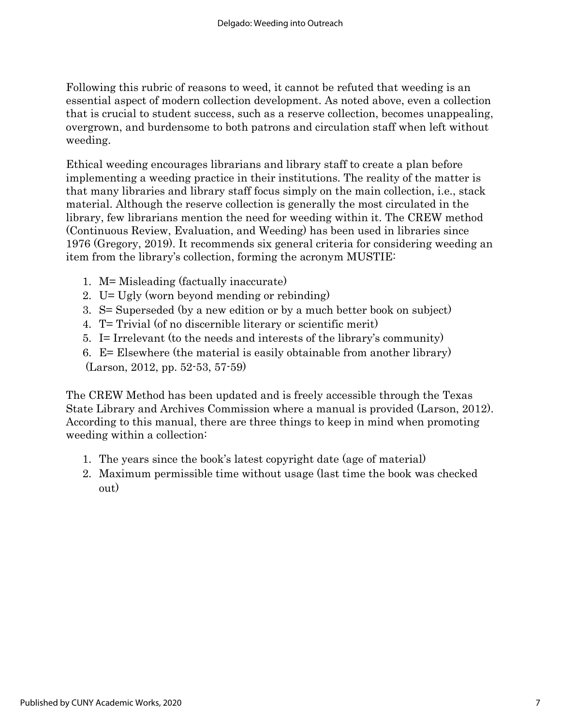Following this rubric of reasons to weed, it cannot be refuted that weeding is an essential aspect of modern collection development. As noted above, even a collection that is crucial to student success, such as a reserve collection, becomes unappealing, overgrown, and burdensome to both patrons and circulation staff when left without weeding.

Ethical weeding encourages librarians and library staff to create a plan before implementing a weeding practice in their institutions. The reality of the matter is that many libraries and library staff focus simply on the main collection, i.e., stack material. Although the reserve collection is generally the most circulated in the library, few librarians mention the need for weeding within it. The CREW method (Continuous Review, Evaluation, and Weeding) has been used in libraries since 1976 (Gregory, 2019). It recommends six general criteria for considering weeding an item from the library's collection, forming the acronym MUSTIE:

- 1. M= Misleading (factually inaccurate)
- 2. U= Ugly (worn beyond mending or rebinding)
- 3. S= Superseded (by a new edition or by a much better book on subject)
- 4. T= Trivial (of no discernible literary or scientific merit)
- 5. I= Irrelevant (to the needs and interests of the library's community)
- 6. E= Elsewhere (the material is easily obtainable from another library) (Larson, 2012, pp. 52-53, 57-59)

The CREW Method has been updated and is freely accessible through the Texas State Library and Archives Commission where a manual is provided (Larson, 2012). According to this manual, there are three things to keep in mind when promoting weeding within a collection:

- 1. The years since the book's latest copyright date (age of material)
- 2. Maximum permissible time without usage (last time the book was checked out)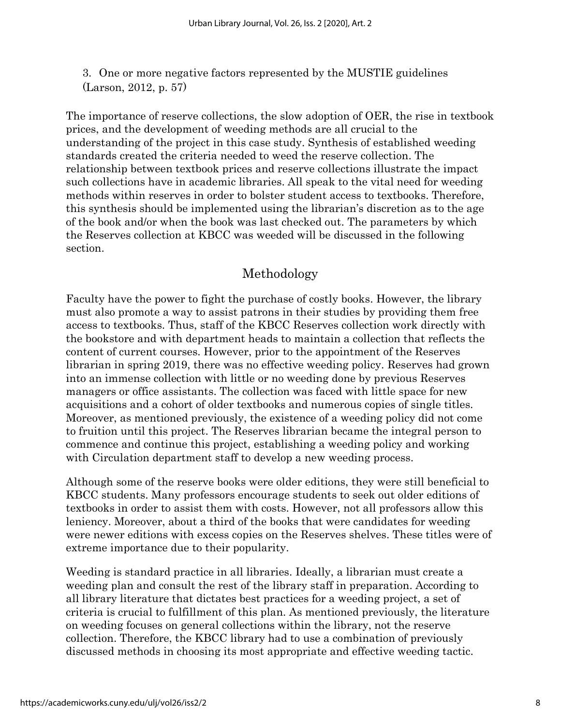3. One or more negative factors represented by the MUSTIE guidelines (Larson, 2012, p. 57)

The importance of reserve collections, the slow adoption of OER, the rise in textbook prices, and the development of weeding methods are all crucial to the understanding of the project in this case study. Synthesis of established weeding standards created the criteria needed to weed the reserve collection. The relationship between textbook prices and reserve collections illustrate the impact such collections have in academic libraries. All speak to the vital need for weeding methods within reserves in order to bolster student access to textbooks. Therefore, this synthesis should be implemented using the librarian's discretion as to the age of the book and/or when the book was last checked out. The parameters by which the Reserves collection at KBCC was weeded will be discussed in the following section.

# Methodology

Faculty have the power to fight the purchase of costly books. However, the library must also promote a way to assist patrons in their studies by providing them free access to textbooks. Thus, staff of the KBCC Reserves collection work directly with the bookstore and with department heads to maintain a collection that reflects the content of current courses. However, prior to the appointment of the Reserves librarian in spring 2019, there was no effective weeding policy. Reserves had grown into an immense collection with little or no weeding done by previous Reserves managers or office assistants. The collection was faced with little space for new acquisitions and a cohort of older textbooks and numerous copies of single titles. Moreover, as mentioned previously, the existence of a weeding policy did not come to fruition until this project. The Reserves librarian became the integral person to commence and continue this project, establishing a weeding policy and working with Circulation department staff to develop a new weeding process.

Although some of the reserve books were older editions, they were still beneficial to KBCC students. Many professors encourage students to seek out older editions of textbooks in order to assist them with costs. However, not all professors allow this leniency. Moreover, about a third of the books that were candidates for weeding were newer editions with excess copies on the Reserves shelves. These titles were of extreme importance due to their popularity.

Weeding is standard practice in all libraries. Ideally, a librarian must create a weeding plan and consult the rest of the library staff in preparation. According to all library literature that dictates best practices for a weeding project, a set of criteria is crucial to fulfillment of this plan. As mentioned previously, the literature on weeding focuses on general collections within the library, not the reserve collection. Therefore, the KBCC library had to use a combination of previously discussed methods in choosing its most appropriate and effective weeding tactic.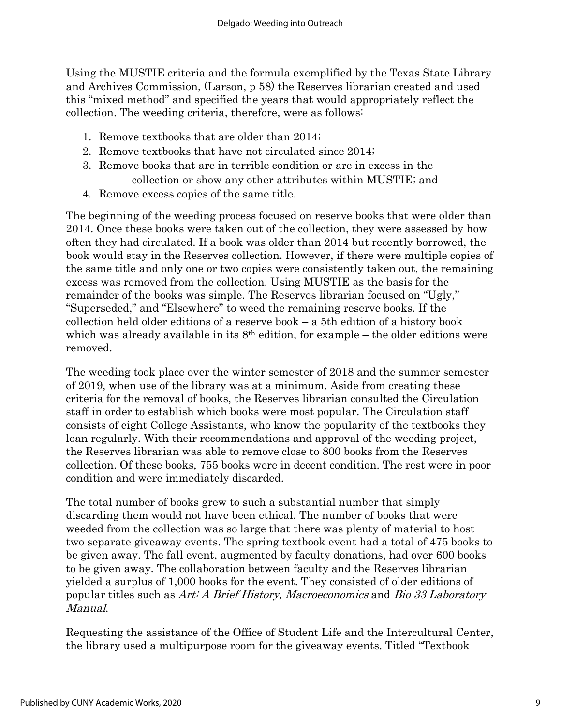Using the MUSTIE criteria and the formula exemplified by the Texas State Library and Archives Commission, (Larson, p 58) the Reserves librarian created and used this "mixed method" and specified the years that would appropriately reflect the collection. The weeding criteria, therefore, were as follows:

- 1. Remove textbooks that are older than 2014;
- 2. Remove textbooks that have not circulated since 2014;
- 3. Remove books that are in terrible condition or are in excess in the collection or show any other attributes within MUSTIE; and
- 4. Remove excess copies of the same title.

The beginning of the weeding process focused on reserve books that were older than 2014. Once these books were taken out of the collection, they were assessed by how often they had circulated. If a book was older than 2014 but recently borrowed, the book would stay in the Reserves collection. However, if there were multiple copies of the same title and only one or two copies were consistently taken out, the remaining excess was removed from the collection. Using MUSTIE as the basis for the remainder of the books was simple. The Reserves librarian focused on "Ugly," "Superseded," and "Elsewhere" to weed the remaining reserve books. If the collection held older editions of a reserve book – a 5th edition of a history book which was already available in its  $8<sup>th</sup>$  edition, for example – the older editions were removed.

The weeding took place over the winter semester of 2018 and the summer semester of 2019, when use of the library was at a minimum. Aside from creating these criteria for the removal of books, the Reserves librarian consulted the Circulation staff in order to establish which books were most popular. The Circulation staff consists of eight College Assistants, who know the popularity of the textbooks they loan regularly. With their recommendations and approval of the weeding project, the Reserves librarian was able to remove close to 800 books from the Reserves collection. Of these books, 755 books were in decent condition. The rest were in poor condition and were immediately discarded.

The total number of books grew to such a substantial number that simply discarding them would not have been ethical. The number of books that were weeded from the collection was so large that there was plenty of material to host two separate giveaway events. The spring textbook event had a total of 475 books to be given away. The fall event, augmented by faculty donations, had over 600 books to be given away. The collaboration between faculty and the Reserves librarian yielded a surplus of 1,000 books for the event. They consisted of older editions of popular titles such as Art: A Brief History, Macroeconomics and Bio 33 Laboratory Manual.

Requesting the assistance of the Office of Student Life and the Intercultural Center, the library used a multipurpose room for the giveaway events. Titled "Textbook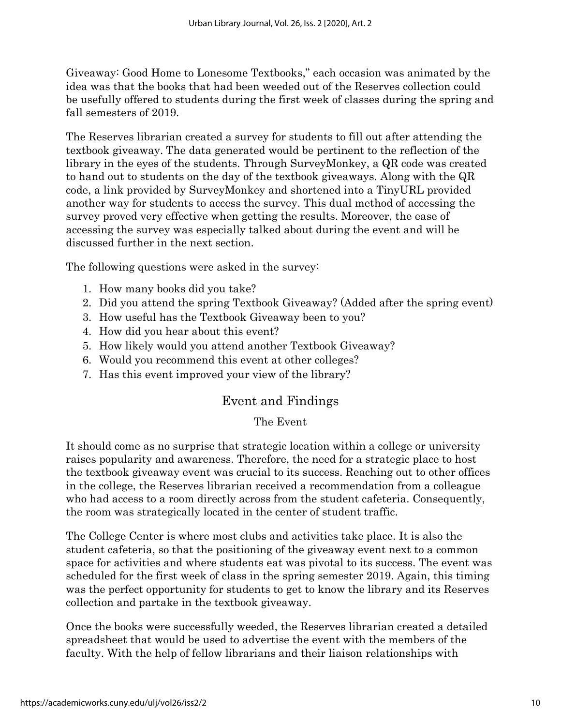Giveaway: Good Home to Lonesome Textbooks," each occasion was animated by the idea was that the books that had been weeded out of the Reserves collection could be usefully offered to students during the first week of classes during the spring and fall semesters of 2019.

The Reserves librarian created a survey for students to fill out after attending the textbook giveaway. The data generated would be pertinent to the reflection of the library in the eyes of the students. Through SurveyMonkey, a QR code was created to hand out to students on the day of the textbook giveaways. Along with the QR code, a link provided by SurveyMonkey and shortened into a TinyURL provided another way for students to access the survey. This dual method of accessing the survey proved very effective when getting the results. Moreover, the ease of accessing the survey was especially talked about during the event and will be discussed further in the next section.

The following questions were asked in the survey:

- 1. How many books did you take?
- 2. Did you attend the spring Textbook Giveaway? (Added after the spring event)
- 3. How useful has the Textbook Giveaway been to you?
- 4. How did you hear about this event?
- 5. How likely would you attend another Textbook Giveaway?
- 6. Would you recommend this event at other colleges?
- 7. Has this event improved your view of the library?

# Event and Findings

#### The Event

It should come as no surprise that strategic location within a college or university raises popularity and awareness. Therefore, the need for a strategic place to host the textbook giveaway event was crucial to its success. Reaching out to other offices in the college, the Reserves librarian received a recommendation from a colleague who had access to a room directly across from the student cafeteria. Consequently, the room was strategically located in the center of student traffic.

The College Center is where most clubs and activities take place. It is also the student cafeteria, so that the positioning of the giveaway event next to a common space for activities and where students eat was pivotal to its success. The event was scheduled for the first week of class in the spring semester 2019. Again, this timing was the perfect opportunity for students to get to know the library and its Reserves collection and partake in the textbook giveaway.

Once the books were successfully weeded, the Reserves librarian created a detailed spreadsheet that would be used to advertise the event with the members of the faculty. With the help of fellow librarians and their liaison relationships with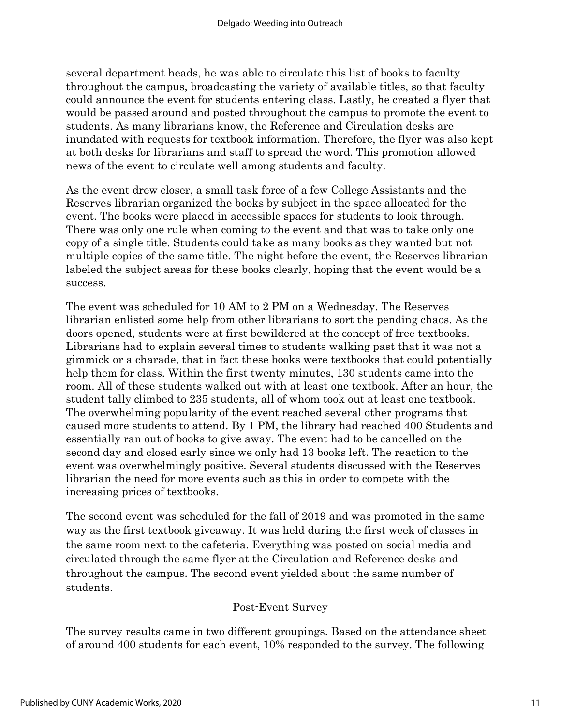several department heads, he was able to circulate this list of books to faculty throughout the campus, broadcasting the variety of available titles, so that faculty could announce the event for students entering class. Lastly, he created a flyer that would be passed around and posted throughout the campus to promote the event to students. As many librarians know, the Reference and Circulation desks are inundated with requests for textbook information. Therefore, the flyer was also kept at both desks for librarians and staff to spread the word. This promotion allowed news of the event to circulate well among students and faculty.

As the event drew closer, a small task force of a few College Assistants and the Reserves librarian organized the books by subject in the space allocated for the event. The books were placed in accessible spaces for students to look through. There was only one rule when coming to the event and that was to take only one copy of a single title. Students could take as many books as they wanted but not multiple copies of the same title. The night before the event, the Reserves librarian labeled the subject areas for these books clearly, hoping that the event would be a success.

The event was scheduled for 10 AM to 2 PM on a Wednesday. The Reserves librarian enlisted some help from other librarians to sort the pending chaos. As the doors opened, students were at first bewildered at the concept of free textbooks. Librarians had to explain several times to students walking past that it was not a gimmick or a charade, that in fact these books were textbooks that could potentially help them for class. Within the first twenty minutes, 130 students came into the room. All of these students walked out with at least one textbook. After an hour, the student tally climbed to 235 students, all of whom took out at least one textbook. The overwhelming popularity of the event reached several other programs that caused more students to attend. By 1 PM, the library had reached 400 Students and essentially ran out of books to give away. The event had to be cancelled on the second day and closed early since we only had 13 books left. The reaction to the event was overwhelmingly positive. Several students discussed with the Reserves librarian the need for more events such as this in order to compete with the increasing prices of textbooks.

The second event was scheduled for the fall of 2019 and was promoted in the same way as the first textbook giveaway. It was held during the first week of classes in the same room next to the cafeteria. Everything was posted on social media and circulated through the same flyer at the Circulation and Reference desks and throughout the campus. The second event yielded about the same number of students.

#### Post-Event Survey

The survey results came in two different groupings. Based on the attendance sheet of around 400 students for each event, 10% responded to the survey. The following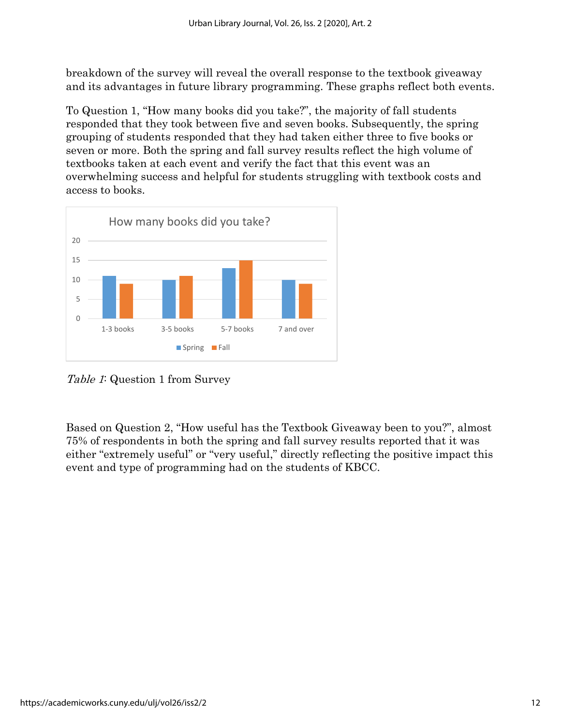breakdown of the survey will reveal the overall response to the textbook giveaway and its advantages in future library programming. These graphs reflect both events.

To Question 1, "How many books did you take?", the majority of fall students responded that they took between five and seven books. Subsequently, the spring grouping of students responded that they had taken either three to five books or seven or more. Both the spring and fall survey results reflect the high volume of textbooks taken at each event and verify the fact that this event was an overwhelming success and helpful for students struggling with textbook costs and access to books.



Table 1: Question 1 from Survey

Based on Question 2, "How useful has the Textbook Giveaway been to you?", almost 75% of respondents in both the spring and fall survey results reported that it was either "extremely useful" or "very useful," directly reflecting the positive impact this event and type of programming had on the students of KBCC.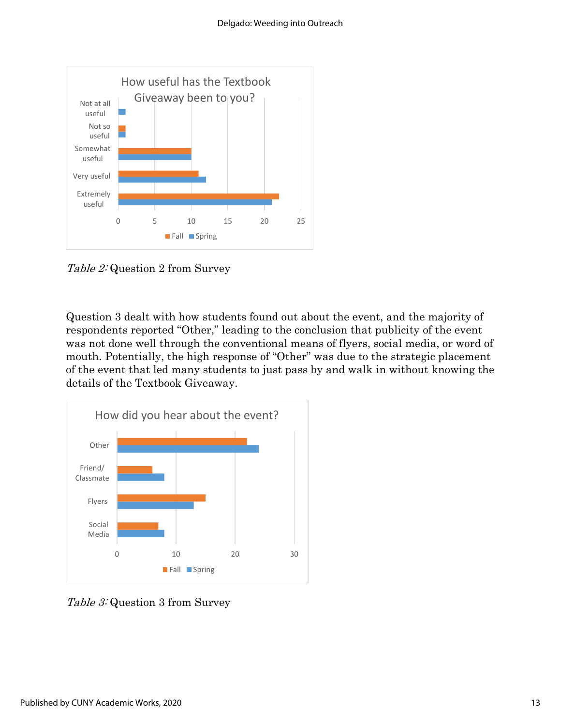

Table 2: Question 2 from Survey

Question 3 dealt with how students found out about the event, and the majority of respondents reported "Other," leading to the conclusion that publicity of the event was not done well through the conventional means of flyers, social media, or word of mouth. Potentially, the high response of "Other" was due to the strategic placement of the event that led many students to just pass by and walk in without knowing the details of the Textbook Giveaway.



Table 3: Question 3 from Survey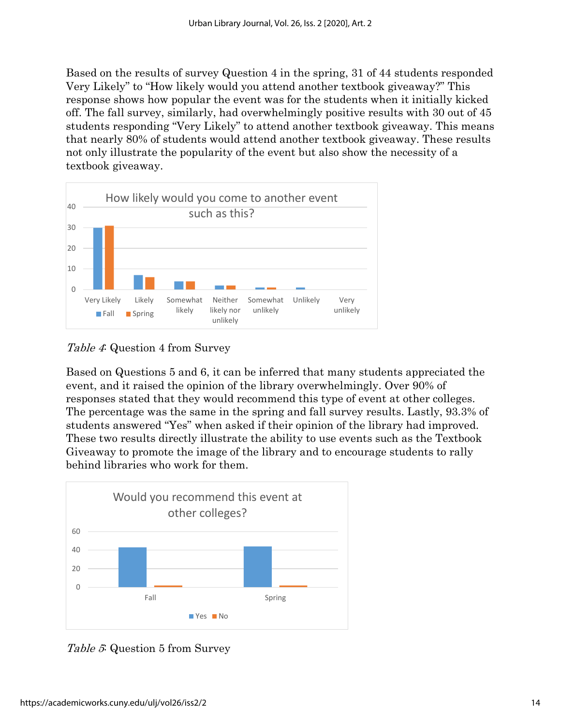Based on the results of survey Question 4 in the spring, 31 of 44 students responded Very Likely" to "How likely would you attend another textbook giveaway?" This response shows how popular the event was for the students when it initially kicked off. The fall survey, similarly, had overwhelmingly positive results with 30 out of 45 students responding "Very Likely" to attend another textbook giveaway. This means that nearly 80% of students would attend another textbook giveaway. These results not only illustrate the popularity of the event but also show the necessity of a textbook giveaway.



Table 4: Question 4 from Survey

Based on Questions 5 and 6, it can be inferred that many students appreciated the event, and it raised the opinion of the library overwhelmingly. Over 90% of responses stated that they would recommend this type of event at other colleges. The percentage was the same in the spring and fall survey results. Lastly, 93.3% of students answered "Yes" when asked if their opinion of the library had improved. These two results directly illustrate the ability to use events such as the Textbook Giveaway to promote the image of the library and to encourage students to rally behind libraries who work for them.



Table 5: Question 5 from Survey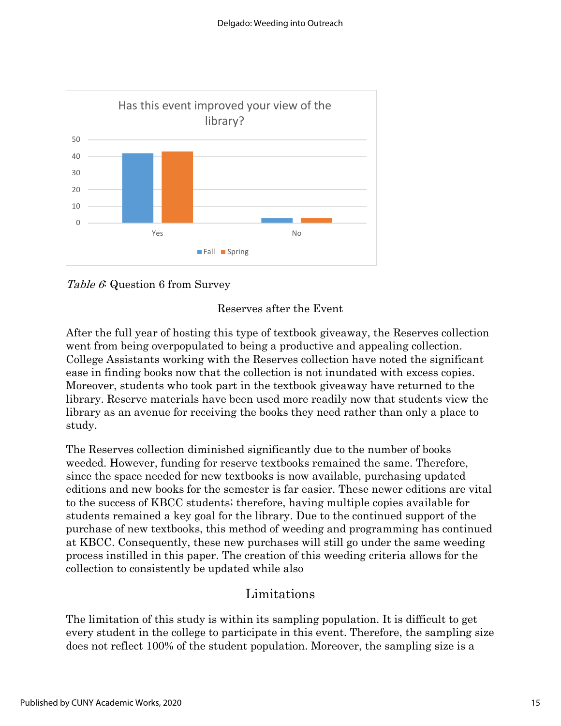





After the full year of hosting this type of textbook giveaway, the Reserves collection went from being overpopulated to being a productive and appealing collection. College Assistants working with the Reserves collection have noted the significant ease in finding books now that the collection is not inundated with excess copies. Moreover, students who took part in the textbook giveaway have returned to the library. Reserve materials have been used more readily now that students view the library as an avenue for receiving the books they need rather than only a place to study.

The Reserves collection diminished significantly due to the number of books weeded. However, funding for reserve textbooks remained the same. Therefore, since the space needed for new textbooks is now available, purchasing updated editions and new books for the semester is far easier. These newer editions are vital to the success of KBCC students; therefore, having multiple copies available for students remained a key goal for the library. Due to the continued support of the purchase of new textbooks, this method of weeding and programming has continued at KBCC. Consequently, these new purchases will still go under the same weeding process instilled in this paper. The creation of this weeding criteria allows for the collection to consistently be updated while also

### Limitations

The limitation of this study is within its sampling population. It is difficult to get every student in the college to participate in this event. Therefore, the sampling size does not reflect 100% of the student population. Moreover, the sampling size is a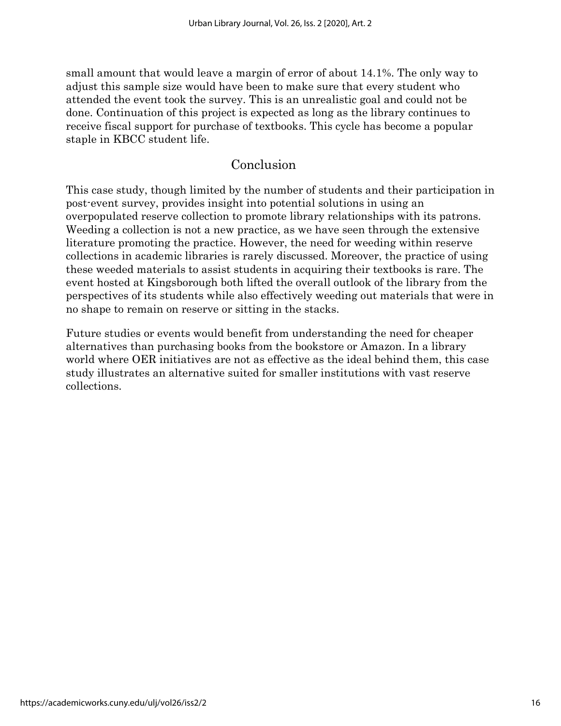small amount that would leave a margin of error of about 14.1%. The only way to adjust this sample size would have been to make sure that every student who attended the event took the survey. This is an unrealistic goal and could not be done. Continuation of this project is expected as long as the library continues to receive fiscal support for purchase of textbooks. This cycle has become a popular staple in KBCC student life.

## Conclusion

This case study, though limited by the number of students and their participation in post-event survey, provides insight into potential solutions in using an overpopulated reserve collection to promote library relationships with its patrons. Weeding a collection is not a new practice, as we have seen through the extensive literature promoting the practice. However, the need for weeding within reserve collections in academic libraries is rarely discussed. Moreover, the practice of using these weeded materials to assist students in acquiring their textbooks is rare. The event hosted at Kingsborough both lifted the overall outlook of the library from the perspectives of its students while also effectively weeding out materials that were in no shape to remain on reserve or sitting in the stacks.

Future studies or events would benefit from understanding the need for cheaper alternatives than purchasing books from the bookstore or Amazon. In a library world where OER initiatives are not as effective as the ideal behind them, this case study illustrates an alternative suited for smaller institutions with vast reserve collections.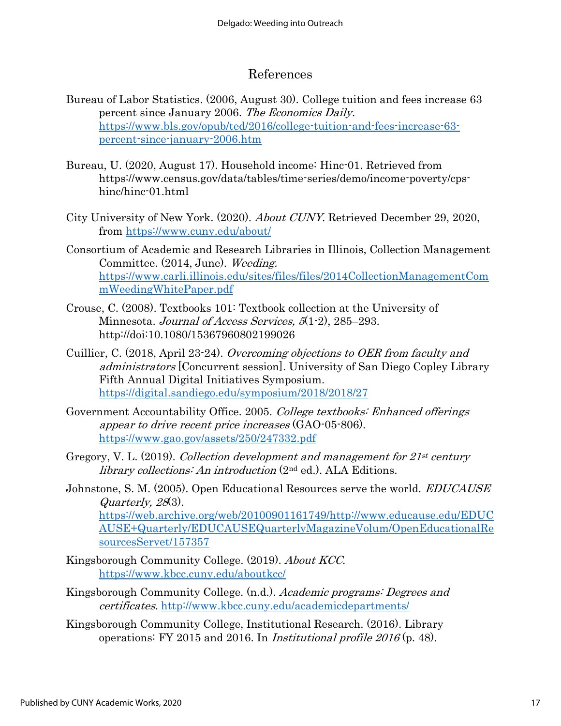## References

- Bureau of Labor Statistics. (2006, August 30). College tuition and fees increase 63 percent since January 2006. The Economics Daily. [https://www.bls.gov/opub/ted/2016/college-tuition-and-fees-increase-63](https://www.bls.gov/opub/ted/2016/college-tuition-and-fees-increase-63-percent-since-january-2006.htm) [percent-since-january-2006.htm](https://www.bls.gov/opub/ted/2016/college-tuition-and-fees-increase-63-percent-since-january-2006.htm)
- Bureau, U. (2020, August 17). Household income: Hinc-01. Retrieved from https://www.census.gov/data/tables/time-series/demo/income-poverty/cpshinc/hinc-01.html
- City University of New York. (2020). About CUNY. Retrieved December 29, 2020, from<https://www.cuny.edu/about/>
- Consortium of Academic and Research Libraries in Illinois, Collection Management Committee. (2014, June). Weeding. [https://www.carli.illinois.edu/sites/files/files/2014CollectionManagementCom](https://www.carli.illinois.edu/sites/files/files/2014CollectionManagementCommWeedingWhitePaper.pdf) [mWeedingWhitePaper.pdf](https://www.carli.illinois.edu/sites/files/files/2014CollectionManagementCommWeedingWhitePaper.pdf)
- Crouse, C. (2008). Textbooks 101: Textbook collection at the University of Minnesota. Journal of Access Services, 5(1-2), 285–293. http://doi:10.1080/15367960802199026
- Cuillier, C. (2018, April 23-24). Overcoming objections to OER from faculty and administrators [Concurrent session]. University of San Diego Copley Library Fifth Annual Digital Initiatives Symposium. <https://digital.sandiego.edu/symposium/2018/2018/27>
- Government Accountability Office. 2005. College textbooks: Enhanced offerings appear to drive recent price increases (GAO-05-806). <https://www.gao.gov/assets/250/247332.pdf>
- Gregory, V. L. (2019). Collection development and management for  $21^{st}$  century library collections: An introduction (2nd ed.). ALA Editions.
- Johnstone, S. M. (2005). Open Educational Resources serve the world. *EDUCAUSE* Quarterly, 28(3). [https://web.archive.org/web/20100901161749/http://www.educause.edu/EDUC](https://web.archive.org/web/20100901161749/http:/www.educause.edu/EDUCAUSE+Quarterly/EDUCAUSEQuarterlyMagazineVolum/OpenEducationalResourcesServet/157357) [AUSE+Quarterly/EDUCAUSEQuarterlyMagazineVolum/OpenEducationalRe](https://web.archive.org/web/20100901161749/http:/www.educause.edu/EDUCAUSE+Quarterly/EDUCAUSEQuarterlyMagazineVolum/OpenEducationalResourcesServet/157357) [sourcesServet/157357](https://web.archive.org/web/20100901161749/http:/www.educause.edu/EDUCAUSE+Quarterly/EDUCAUSEQuarterlyMagazineVolum/OpenEducationalResourcesServet/157357)
- Kingsborough Community College. (2019). About KCC. <https://www.kbcc.cuny.edu/aboutkcc/>
- Kingsborough Community College. (n.d.). Academic programs: Degrees and certificates. <http://www.kbcc.cuny.edu/academicdepartments/>
- Kingsborough Community College, Institutional Research. (2016). Library operations: FY 2015 and 2016. In *Institutional profile 2016* (p. 48).